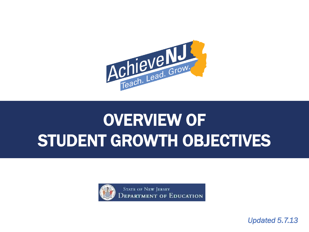

# OVERVIEW OF STUDENT GROWTH OBJECTIVES



**STATE OF NEW JERSEY** EPARTMENT OF EDUCATION

*Updated 5.7.13*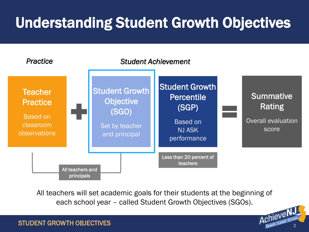## Understanding Student Growth Objectives



All teachers will set academic goals for their students at the beginning of each school year – called Student Growth Objectives (SGOs).

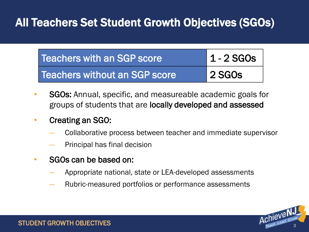#### All Teachers Set Student Growth Objectives (SGOs)

| Teachers with an SGP score    | $1 - 2$ SGOs                    |
|-------------------------------|---------------------------------|
| Teachers without an SGP score | $\overline{\phantom{a}}$ 2 SGOs |

- SGOs: Annual, specific, and measureable academic goals for groups of students that are locally developed and assessed
- Creating an SGO:
	- Collaborative process between teacher and immediate supervisor
	- ― Principal has final decision
- SGOs can be based on:
	- ― Appropriate national, state or LEA-developed assessments
	- ― Rubric-measured portfolios or performance assessments

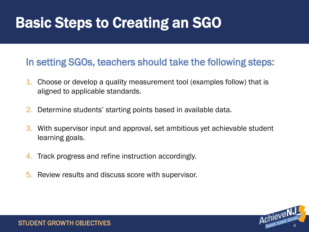#### Basic Steps to Creating an SGO

#### In setting SGOs, teachers should take the following steps:

- 1. Choose or develop a quality measurement tool (examples follow) that is aligned to applicable standards.
- 2. Determine students' starting points based in available data.
- 3. With supervisor input and approval, set ambitious yet achievable student learning goals.
- 4. Track progress and refine instruction accordingly.
- 5. Review results and discuss score with supervisor.

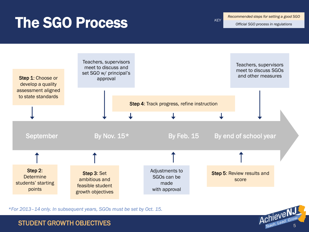#### The SGO Process

*Recommended steps for setting a good SGO*

*KEY*

*Official SGO process in regulations*

Achieve N.



*\*For 2013–14 only. In subsequent years, SGOs must be set by Oct. 15.*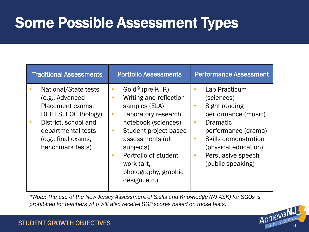### Some Possible Assessment Types

| <b>Traditional Assessments</b>                                                                                                                                               | <b>Portfolio Assessments</b>                                                                                                                                                                                                                                                                                       | <b>Performance Assessment</b>                                                                                                                                                                                                                                            |
|------------------------------------------------------------------------------------------------------------------------------------------------------------------------------|--------------------------------------------------------------------------------------------------------------------------------------------------------------------------------------------------------------------------------------------------------------------------------------------------------------------|--------------------------------------------------------------------------------------------------------------------------------------------------------------------------------------------------------------------------------------------------------------------------|
| National/State tests<br>(e.g., Advanced<br>Placement exams,<br>DIBELS, EOC Biology)<br>District, school and<br>departmental tests<br>(e.g., final exams,<br>benchmark tests) | Gold <sup>®</sup> (pre-K, K)<br>$\bullet$<br>Writing and reflection<br>$\bullet$<br>samples (ELA)<br>Laboratory research<br>$\bullet$<br>notebook (sciences)<br>Student project-based<br>$\bullet$<br>assessments (all<br>subjects)<br>Portfolio of student<br>work (art,<br>photography, graphic<br>design, etc.) | Lab Practicum<br>$\bullet$<br>(sciences)<br>Sight reading<br>$\bullet$<br>performance (music)<br><b>Dramatic</b><br>$\bullet$<br>performance (drama)<br>Skills demonstration<br>$\bullet$<br>(physical education)<br>Persuasive speech<br>$\bullet$<br>(public speaking) |

*\*Note: The use of the New Jersey Assessment of Skills and Knowledge (NJ ASK) for SGOs is prohibited for teachers who will also receive SGP scores based on those tests.*

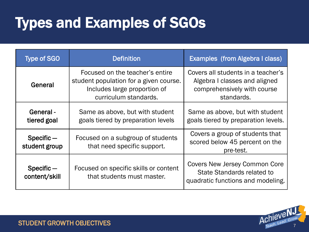## Types and Examples of SGOs

| <b>Type of SGO</b>            | <b>Definition</b>                                                                                                                  | Examples (from Algebra I class)                                                                                  |
|-------------------------------|------------------------------------------------------------------------------------------------------------------------------------|------------------------------------------------------------------------------------------------------------------|
| General                       | Focused on the teacher's entire<br>student population for a given course.<br>Includes large proportion of<br>curriculum standards. | Covers all students in a teacher's<br>Algebra I classes and aligned<br>comprehensively with course<br>standards. |
| General-<br>tiered goal       | Same as above, but with student<br>goals tiered by preparation levels                                                              | Same as above, but with student<br>goals tiered by preparation levels.                                           |
| $Specific -$<br>student group | Focused on a subgroup of students<br>that need specific support.                                                                   | Covers a group of students that<br>scored below 45 percent on the<br>pre-test.                                   |
| $Specific -$<br>content/skill | Focused on specific skills or content<br>that students must master.                                                                | <b>Covers New Jersey Common Core</b><br>State Standards related to<br>quadratic functions and modeling.          |

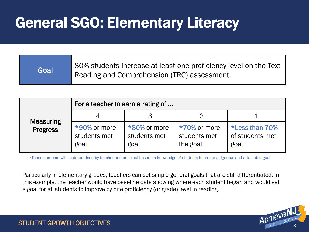#### General SGO: Elementary Literacy

| Goal | 80% students increase at least one proficiency level on the Text<br>Reading and Comprehension (TRC) assessment. |
|------|-----------------------------------------------------------------------------------------------------------------|
|------|-----------------------------------------------------------------------------------------------------------------|

|                  | For a teacher to earn a rating of    |                                      |                                          |                                           |
|------------------|--------------------------------------|--------------------------------------|------------------------------------------|-------------------------------------------|
| <b>Measuring</b> |                                      |                                      |                                          |                                           |
| <b>Progress</b>  | *90% or more<br>students met<br>goal | *80% or more<br>students met<br>goal | *70% or more<br>students met<br>the goal | *Less than 70%<br>of students met<br>goal |

\*These numbers will be determined by teacher and principal based on knowledge of students to create a rigorous and attainable goal

Particularly in elementary grades, teachers can set simple general goals that are still differentiated. In this example, the teacher would have baseline data showing where each student began and would set a goal for all students to improve by one proficiency (or grade) level in reading.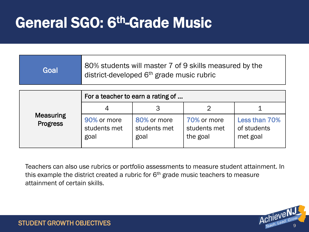#### General SGO: 6th-Grade Music

| Goal | 80% students will master 7 of 9 skills measured by the<br>district-developed 6 <sup>th</sup> grade music rubric |
|------|-----------------------------------------------------------------------------------------------------------------|
|------|-----------------------------------------------------------------------------------------------------------------|

|                                     | For a teacher to earn a rating of   |                                     |                                         |                                          |
|-------------------------------------|-------------------------------------|-------------------------------------|-----------------------------------------|------------------------------------------|
|                                     | 4                                   |                                     |                                         |                                          |
| <b>Measuring</b><br><b>Progress</b> | 90% or more<br>students met<br>goal | 80% or more<br>students met<br>goal | 70% or more<br>students met<br>the goal | Less than 70%<br>of students<br>met goal |

Teachers can also use rubrics or portfolio assessments to measure student attainment. In this example the district created a rubric for  $6<sup>th</sup>$  grade music teachers to measure attainment of certain skills.

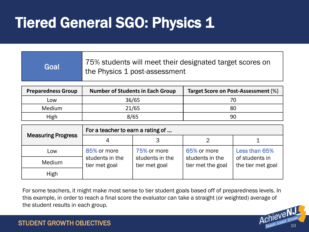### **Tiered General SGO: Physics 1**

| Goal | 75% students will meet their designated target scores on<br>the Physics 1 post-assessment |
|------|-------------------------------------------------------------------------------------------|
|------|-------------------------------------------------------------------------------------------|

| <b>Preparedness Group</b> | <b>Number of Students in Each Group</b> | Target Score on Post-Assessment (%) |
|---------------------------|-----------------------------------------|-------------------------------------|
| Low                       | 36/65                                   |                                     |
| <b>Medium</b>             | 21/65                                   | 80                                  |
| High                      | 8/65                                    | 90                                  |

|                           | For a teacher to earn a rating of |                                  |                                      |                                     |
|---------------------------|-----------------------------------|----------------------------------|--------------------------------------|-------------------------------------|
| <b>Measuring Progress</b> |                                   |                                  |                                      |                                     |
| Low                       | 85% or more                       | 75% or more                      | 65% or more                          | <b>Less than 65%</b>                |
| Medium                    | students in the<br>tier met goal  | students in the<br>tier met goal | students in the<br>tier met the goal | of students in<br>the tier met goal |
| High                      |                                   |                                  |                                      |                                     |

For some teachers, it might make most sense to tier student goals based off of preparedness levels. In this example, in order to reach a final score the evaluator can take a straight (or weighted) average of the student results in each group.

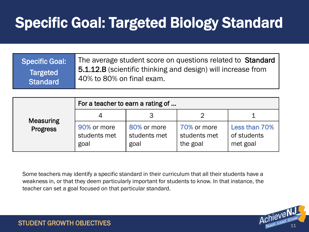## Specific Goal: Targeted Biology Standard

| <b>Specific Goal:</b> | The average student score on questions related to Standard   |
|-----------------------|--------------------------------------------------------------|
| Targeted              | 5.1.12.B (scientific thinking and design) will increase from |
| <b>Standard</b>       | 40% to 80% on final exam.                                    |

|                                     | For a teacher to earn a rating of   |                                     |                                         |                                          |
|-------------------------------------|-------------------------------------|-------------------------------------|-----------------------------------------|------------------------------------------|
| <b>Measuring</b><br><b>Progress</b> | 4                                   |                                     |                                         |                                          |
|                                     | 90% or more<br>students met<br>goal | 80% or more<br>students met<br>goal | 70% or more<br>students met<br>the goal | Less than 70%<br>of students<br>met goal |

Some teachers may identify a specific standard in their curriculum that all their students have a weakness in, or that they deem particularly important for students to know. In that instance, the teacher can set a goal focused on that particular standard.

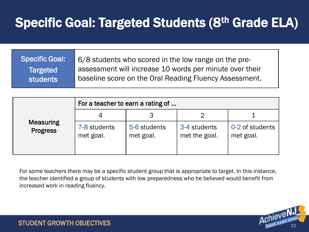#### Specific Goal: Targeted Students (8<sup>th</sup> Grade ELA)

| <b>Specific Goal:</b> | 6/8 students who scored in the low range on the pre-    |
|-----------------------|---------------------------------------------------------|
| <b>Targeted</b>       | assessment will increase 10 words per minute over their |
| <b>students</b>       | baseline score on the Oral Reading Fluency Assessment.  |

| <b>Measuring</b><br><b>Progress</b> | For a teacher to earn a rating of |                           |                               |                              |  |
|-------------------------------------|-----------------------------------|---------------------------|-------------------------------|------------------------------|--|
|                                     |                                   |                           |                               |                              |  |
|                                     | 7-8 students<br>met goal.         | 5-6 students<br>met goal. | 3-4 students<br>met the goal. | 0-2 of students<br>met goal. |  |

For some teachers there may be a specific student group that is appropriate to target. In this instance, the teacher identified a group of students with low preparedness who he believed would benefit from increased work in reading fluency.

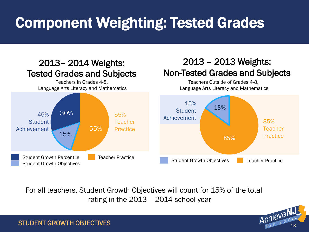## Component Weighting: Tested Grades

#### 85% Teacher **Practice** 15% **Student** Achievement Student Growth Objectives **Teacher Practice** 2013 – 2013 Weights: Non-Tested Grades and Subjects Teachers Outside of Grades 4-8, Language Arts Literacy and Mathematics 45% **Student** Achievement 55% **Teacher** Practice Student Growth Percentile Student Growth Objectives Teacher Practice 55% 15% 30% 2013– 2014 Weights: Tested Grades and Subjects Teachers in Grades 4-8, Language Arts Literacy and Mathematics 85% 15%

For all teachers, Student Growth Objectives will count for 15% of the total rating in the 2013 – 2014 school year